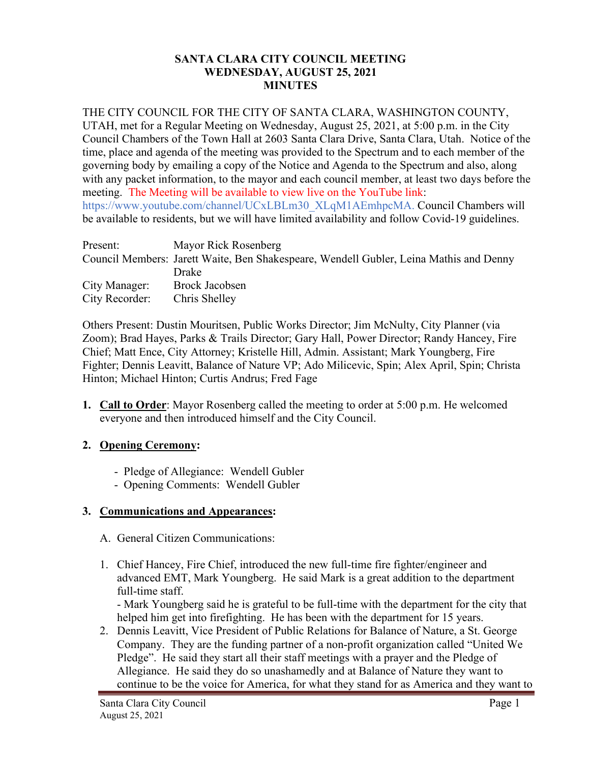## **SANTA CLARA CITY COUNCIL MEETING WEDNESDAY, AUGUST 25, 2021 MINUTES**

## THE CITY COUNCIL FOR THE CITY OF SANTA CLARA, WASHINGTON COUNTY,

UTAH, met for a Regular Meeting on Wednesday, August 25, 2021, at 5:00 p.m. in the City Council Chambers of the Town Hall at 2603 Santa Clara Drive, Santa Clara, Utah. Notice of the time, place and agenda of the meeting was provided to the Spectrum and to each member of the governing body by emailing a copy of the Notice and Agenda to the Spectrum and also, along with any packet information, to the mayor and each council member, at least two days before the meeting. The Meeting will be available to view live on the YouTube link: https://www.youtube.com/channel/UCxLBLm30\_XLqM1AEmhpcMA. Council Chambers will be available to residents, but we will have limited availability and follow Covid-19 guidelines.

| Present:       | Mayor Rick Rosenberg                                                                   |
|----------------|----------------------------------------------------------------------------------------|
|                | Council Members: Jarett Waite, Ben Shakespeare, Wendell Gubler, Leina Mathis and Denny |
|                | Drake                                                                                  |
| City Manager:  | Brock Jacobsen                                                                         |
| City Recorder: | Chris Shelley                                                                          |

Others Present: Dustin Mouritsen, Public Works Director; Jim McNulty, City Planner (via Zoom); Brad Hayes, Parks & Trails Director; Gary Hall, Power Director; Randy Hancey, Fire Chief; Matt Ence, City Attorney; Kristelle Hill, Admin. Assistant; Mark Youngberg, Fire Fighter; Dennis Leavitt, Balance of Nature VP; Ado Milicevic, Spin; Alex April, Spin; Christa Hinton; Michael Hinton; Curtis Andrus; Fred Fage

**1. Call to Order**: Mayor Rosenberg called the meeting to order at 5:00 p.m. He welcomed everyone and then introduced himself and the City Council.

# **2. Opening Ceremony:**

- Pledge of Allegiance: Wendell Gubler
- Opening Comments: Wendell Gubler

# **3. Communications and Appearances:**

- A. General Citizen Communications:
- 1. Chief Hancey, Fire Chief, introduced the new full-time fire fighter/engineer and advanced EMT, Mark Youngberg. He said Mark is a great addition to the department full-time staff.

- Mark Youngberg said he is grateful to be full-time with the department for the city that helped him get into firefighting. He has been with the department for 15 years.

2. Dennis Leavitt, Vice President of Public Relations for Balance of Nature, a St. George Company. They are the funding partner of a non-profit organization called "United We Pledge". He said they start all their staff meetings with a prayer and the Pledge of Allegiance. He said they do so unashamedly and at Balance of Nature they want to continue to be the voice for America, for what they stand for as America and they want to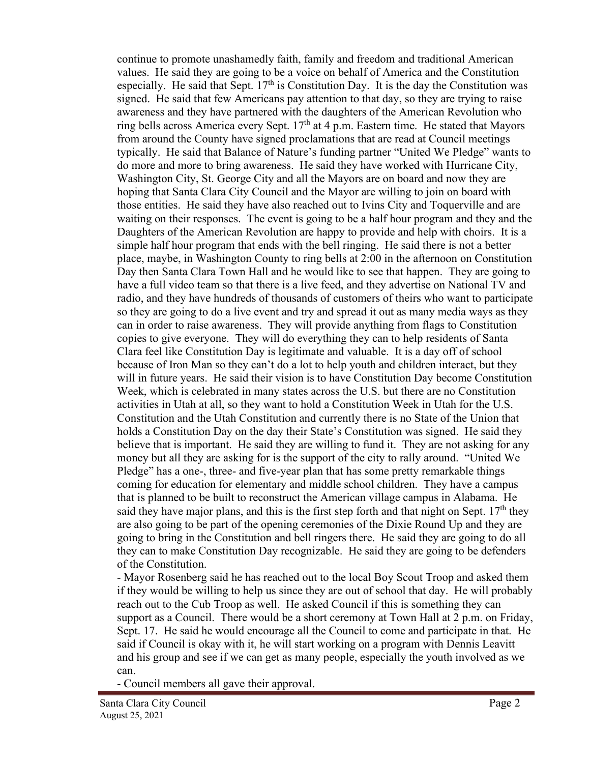continue to promote unashamedly faith, family and freedom and traditional American values. He said they are going to be a voice on behalf of America and the Constitution especially. He said that Sept.  $17<sup>th</sup>$  is Constitution Day. It is the day the Constitution was signed. He said that few Americans pay attention to that day, so they are trying to raise awareness and they have partnered with the daughters of the American Revolution who ring bells across America every Sept.  $17<sup>th</sup>$  at 4 p.m. Eastern time. He stated that Mayors from around the County have signed proclamations that are read at Council meetings typically. He said that Balance of Nature's funding partner "United We Pledge" wants to do more and more to bring awareness. He said they have worked with Hurricane City, Washington City, St. George City and all the Mayors are on board and now they are hoping that Santa Clara City Council and the Mayor are willing to join on board with those entities. He said they have also reached out to Ivins City and Toquerville and are waiting on their responses. The event is going to be a half hour program and they and the Daughters of the American Revolution are happy to provide and help with choirs. It is a simple half hour program that ends with the bell ringing. He said there is not a better place, maybe, in Washington County to ring bells at 2:00 in the afternoon on Constitution Day then Santa Clara Town Hall and he would like to see that happen. They are going to have a full video team so that there is a live feed, and they advertise on National TV and radio, and they have hundreds of thousands of customers of theirs who want to participate so they are going to do a live event and try and spread it out as many media ways as they can in order to raise awareness. They will provide anything from flags to Constitution copies to give everyone. They will do everything they can to help residents of Santa Clara feel like Constitution Day is legitimate and valuable. It is a day off of school because of Iron Man so they can't do a lot to help youth and children interact, but they will in future years. He said their vision is to have Constitution Day become Constitution Week, which is celebrated in many states across the U.S. but there are no Constitution activities in Utah at all, so they want to hold a Constitution Week in Utah for the U.S. Constitution and the Utah Constitution and currently there is no State of the Union that holds a Constitution Day on the day their State's Constitution was signed. He said they believe that is important. He said they are willing to fund it. They are not asking for any money but all they are asking for is the support of the city to rally around. "United We Pledge" has a one-, three- and five-year plan that has some pretty remarkable things coming for education for elementary and middle school children. They have a campus that is planned to be built to reconstruct the American village campus in Alabama. He said they have major plans, and this is the first step forth and that night on Sept.  $17<sup>th</sup>$  they are also going to be part of the opening ceremonies of the Dixie Round Up and they are going to bring in the Constitution and bell ringers there. He said they are going to do all they can to make Constitution Day recognizable. He said they are going to be defenders of the Constitution.

- Mayor Rosenberg said he has reached out to the local Boy Scout Troop and asked them if they would be willing to help us since they are out of school that day. He will probably reach out to the Cub Troop as well. He asked Council if this is something they can support as a Council. There would be a short ceremony at Town Hall at 2 p.m. on Friday, Sept. 17. He said he would encourage all the Council to come and participate in that. He said if Council is okay with it, he will start working on a program with Dennis Leavitt and his group and see if we can get as many people, especially the youth involved as we can.

- Council members all gave their approval.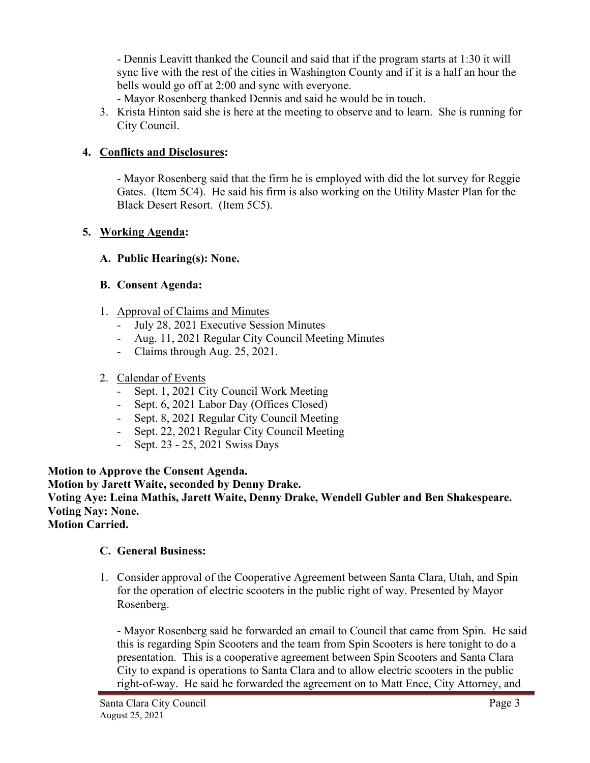- Dennis Leavitt thanked the Council and said that if the program starts at 1:30 it will sync live with the rest of the cities in Washington County and if it is a half an hour the bells would go off at 2:00 and sync with everyone.

- Mayor Rosenberg thanked Dennis and said he would be in touch.

3. Krista Hinton said she is here at the meeting to observe and to learn. She is running for City Council.

# **4. Conflicts and Disclosures:**

- Mayor Rosenberg said that the firm he is employed with did the lot survey for Reggie Gates. (Item 5C4). He said his firm is also working on the Utility Master Plan for the Black Desert Resort. (Item 5C5).

# **5. Working Agenda:**

# **A. Public Hearing(s): None.**

# **B. Consent Agenda:**

- 1. Approval of Claims and Minutes
	- July 28, 2021 Executive Session Minutes
	- Aug. 11, 2021 Regular City Council Meeting Minutes
	- Claims through Aug. 25, 2021.

# 2. Calendar of Events

- Sept. 1, 2021 City Council Work Meeting
- Sept. 6, 2021 Labor Day (Offices Closed)
- Sept. 8, 2021 Regular City Council Meeting
- Sept. 22, 2021 Regular City Council Meeting
- Sept. 23 25, 2021 Swiss Days

# **Motion to Approve the Consent Agenda.**

**Motion by Jarett Waite, seconded by Denny Drake. Voting Aye: Leina Mathis, Jarett Waite, Denny Drake, Wendell Gubler and Ben Shakespeare. Voting Nay: None. Motion Carried.**

# **C. General Business:**

1. Consider approval of the Cooperative Agreement between Santa Clara, Utah, and Spin for the operation of electric scooters in the public right of way. Presented by Mayor Rosenberg.

- Mayor Rosenberg said he forwarded an email to Council that came from Spin. He said this is regarding Spin Scooters and the team from Spin Scooters is here tonight to do a presentation. This is a cooperative agreement between Spin Scooters and Santa Clara City to expand is operations to Santa Clara and to allow electric scooters in the public right-of-way. He said he forwarded the agreement on to Matt Ence, City Attorney, and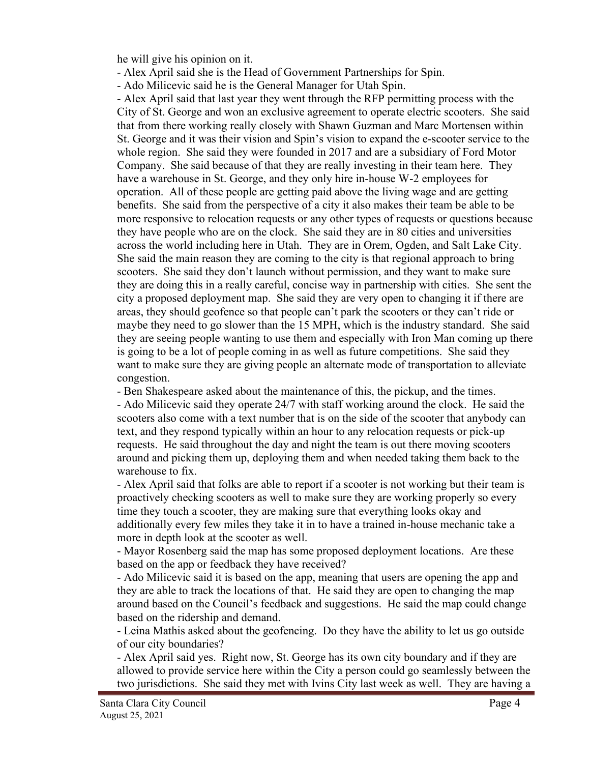he will give his opinion on it.

- Alex April said she is the Head of Government Partnerships for Spin.
- Ado Milicevic said he is the General Manager for Utah Spin.

- Alex April said that last year they went through the RFP permitting process with the City of St. George and won an exclusive agreement to operate electric scooters. She said that from there working really closely with Shawn Guzman and Marc Mortensen within St. George and it was their vision and Spin's vision to expand the e-scooter service to the whole region. She said they were founded in 2017 and are a subsidiary of Ford Motor Company. She said because of that they are really investing in their team here. They have a warehouse in St. George, and they only hire in-house W-2 employees for operation. All of these people are getting paid above the living wage and are getting benefits. She said from the perspective of a city it also makes their team be able to be more responsive to relocation requests or any other types of requests or questions because they have people who are on the clock. She said they are in 80 cities and universities across the world including here in Utah. They are in Orem, Ogden, and Salt Lake City. She said the main reason they are coming to the city is that regional approach to bring scooters. She said they don't launch without permission, and they want to make sure they are doing this in a really careful, concise way in partnership with cities. She sent the city a proposed deployment map. She said they are very open to changing it if there are areas, they should geofence so that people can't park the scooters or they can't ride or maybe they need to go slower than the 15 MPH, which is the industry standard. She said they are seeing people wanting to use them and especially with Iron Man coming up there is going to be a lot of people coming in as well as future competitions. She said they want to make sure they are giving people an alternate mode of transportation to alleviate congestion.

- Ben Shakespeare asked about the maintenance of this, the pickup, and the times.

- Ado Milicevic said they operate 24/7 with staff working around the clock. He said the scooters also come with a text number that is on the side of the scooter that anybody can text, and they respond typically within an hour to any relocation requests or pick-up requests. He said throughout the day and night the team is out there moving scooters around and picking them up, deploying them and when needed taking them back to the warehouse to fix.

- Alex April said that folks are able to report if a scooter is not working but their team is proactively checking scooters as well to make sure they are working properly so every time they touch a scooter, they are making sure that everything looks okay and additionally every few miles they take it in to have a trained in-house mechanic take a more in depth look at the scooter as well.

- Mayor Rosenberg said the map has some proposed deployment locations. Are these based on the app or feedback they have received?

- Ado Milicevic said it is based on the app, meaning that users are opening the app and they are able to track the locations of that. He said they are open to changing the map around based on the Council's feedback and suggestions. He said the map could change based on the ridership and demand.

- Leina Mathis asked about the geofencing. Do they have the ability to let us go outside of our city boundaries?

- Alex April said yes. Right now, St. George has its own city boundary and if they are allowed to provide service here within the City a person could go seamlessly between the two jurisdictions. She said they met with Ivins City last week as well. They are having a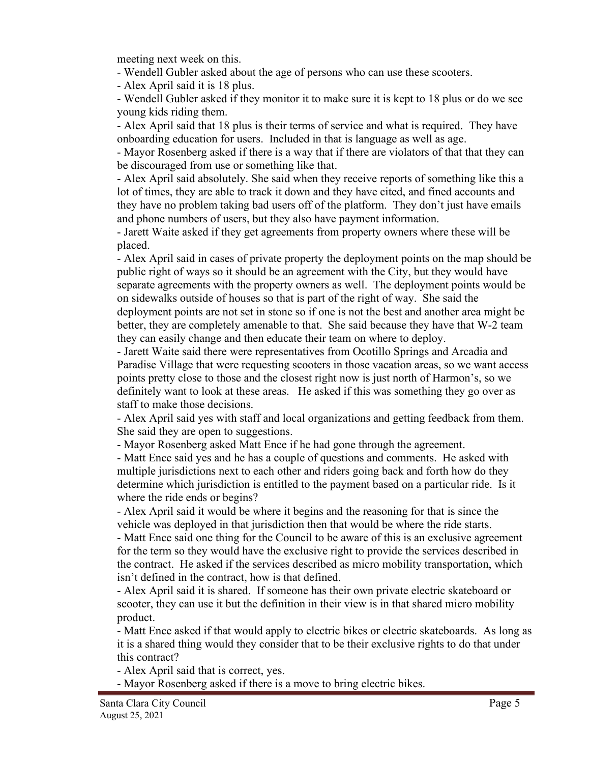meeting next week on this.

- Wendell Gubler asked about the age of persons who can use these scooters.

- Alex April said it is 18 plus.

- Wendell Gubler asked if they monitor it to make sure it is kept to 18 plus or do we see young kids riding them.

- Alex April said that 18 plus is their terms of service and what is required. They have onboarding education for users. Included in that is language as well as age.

- Mayor Rosenberg asked if there is a way that if there are violators of that that they can be discouraged from use or something like that.

- Alex April said absolutely. She said when they receive reports of something like this a lot of times, they are able to track it down and they have cited, and fined accounts and they have no problem taking bad users off of the platform. They don't just have emails and phone numbers of users, but they also have payment information.

- Jarett Waite asked if they get agreements from property owners where these will be placed.

- Alex April said in cases of private property the deployment points on the map should be public right of ways so it should be an agreement with the City, but they would have separate agreements with the property owners as well. The deployment points would be on sidewalks outside of houses so that is part of the right of way. She said the deployment points are not set in stone so if one is not the best and another area might be better, they are completely amenable to that. She said because they have that W-2 team they can easily change and then educate their team on where to deploy.

- Jarett Waite said there were representatives from Ocotillo Springs and Arcadia and Paradise Village that were requesting scooters in those vacation areas, so we want access points pretty close to those and the closest right now is just north of Harmon's, so we definitely want to look at these areas. He asked if this was something they go over as staff to make those decisions.

- Alex April said yes with staff and local organizations and getting feedback from them. She said they are open to suggestions.

- Mayor Rosenberg asked Matt Ence if he had gone through the agreement.

- Matt Ence said yes and he has a couple of questions and comments. He asked with multiple jurisdictions next to each other and riders going back and forth how do they determine which jurisdiction is entitled to the payment based on a particular ride. Is it where the ride ends or begins?

- Alex April said it would be where it begins and the reasoning for that is since the vehicle was deployed in that jurisdiction then that would be where the ride starts.

- Matt Ence said one thing for the Council to be aware of this is an exclusive agreement for the term so they would have the exclusive right to provide the services described in the contract. He asked if the services described as micro mobility transportation, which isn't defined in the contract, how is that defined.

- Alex April said it is shared. If someone has their own private electric skateboard or scooter, they can use it but the definition in their view is in that shared micro mobility product.

- Matt Ence asked if that would apply to electric bikes or electric skateboards. As long as it is a shared thing would they consider that to be their exclusive rights to do that under this contract?

- Alex April said that is correct, yes.

- Mayor Rosenberg asked if there is a move to bring electric bikes.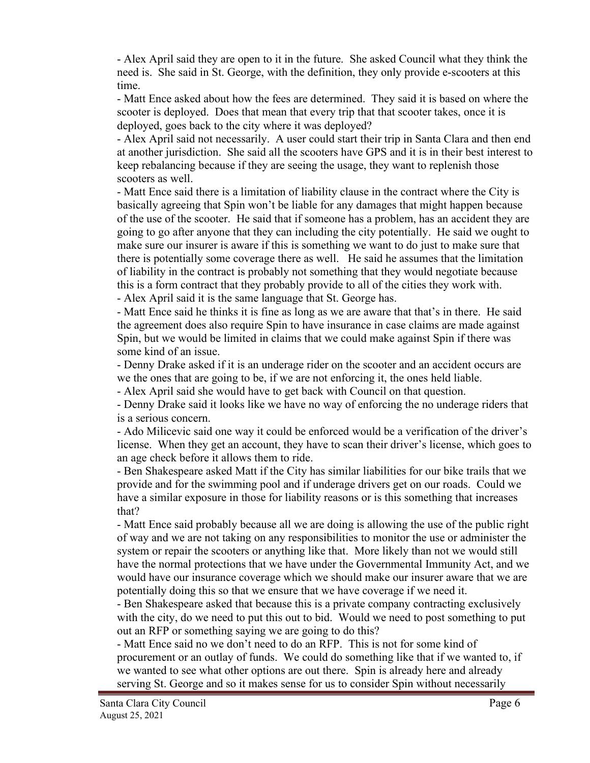- Alex April said they are open to it in the future. She asked Council what they think the need is. She said in St. George, with the definition, they only provide e-scooters at this time.

- Matt Ence asked about how the fees are determined. They said it is based on where the scooter is deployed. Does that mean that every trip that that scooter takes, once it is deployed, goes back to the city where it was deployed?

- Alex April said not necessarily. A user could start their trip in Santa Clara and then end at another jurisdiction. She said all the scooters have GPS and it is in their best interest to keep rebalancing because if they are seeing the usage, they want to replenish those scooters as well.

- Matt Ence said there is a limitation of liability clause in the contract where the City is basically agreeing that Spin won't be liable for any damages that might happen because of the use of the scooter. He said that if someone has a problem, has an accident they are going to go after anyone that they can including the city potentially. He said we ought to make sure our insurer is aware if this is something we want to do just to make sure that there is potentially some coverage there as well. He said he assumes that the limitation of liability in the contract is probably not something that they would negotiate because this is a form contract that they probably provide to all of the cities they work with. - Alex April said it is the same language that St. George has.

- Matt Ence said he thinks it is fine as long as we are aware that that's in there. He said the agreement does also require Spin to have insurance in case claims are made against Spin, but we would be limited in claims that we could make against Spin if there was some kind of an issue.

- Denny Drake asked if it is an underage rider on the scooter and an accident occurs are we the ones that are going to be, if we are not enforcing it, the ones held liable.

- Alex April said she would have to get back with Council on that question.

- Denny Drake said it looks like we have no way of enforcing the no underage riders that is a serious concern.

- Ado Milicevic said one way it could be enforced would be a verification of the driver's license. When they get an account, they have to scan their driver's license, which goes to an age check before it allows them to ride.

- Ben Shakespeare asked Matt if the City has similar liabilities for our bike trails that we provide and for the swimming pool and if underage drivers get on our roads. Could we have a similar exposure in those for liability reasons or is this something that increases that?

- Matt Ence said probably because all we are doing is allowing the use of the public right of way and we are not taking on any responsibilities to monitor the use or administer the system or repair the scooters or anything like that. More likely than not we would still have the normal protections that we have under the Governmental Immunity Act, and we would have our insurance coverage which we should make our insurer aware that we are potentially doing this so that we ensure that we have coverage if we need it.

- Ben Shakespeare asked that because this is a private company contracting exclusively with the city, do we need to put this out to bid. Would we need to post something to put out an RFP or something saying we are going to do this?

- Matt Ence said no we don't need to do an RFP. This is not for some kind of procurement or an outlay of funds. We could do something like that if we wanted to, if we wanted to see what other options are out there. Spin is already here and already serving St. George and so it makes sense for us to consider Spin without necessarily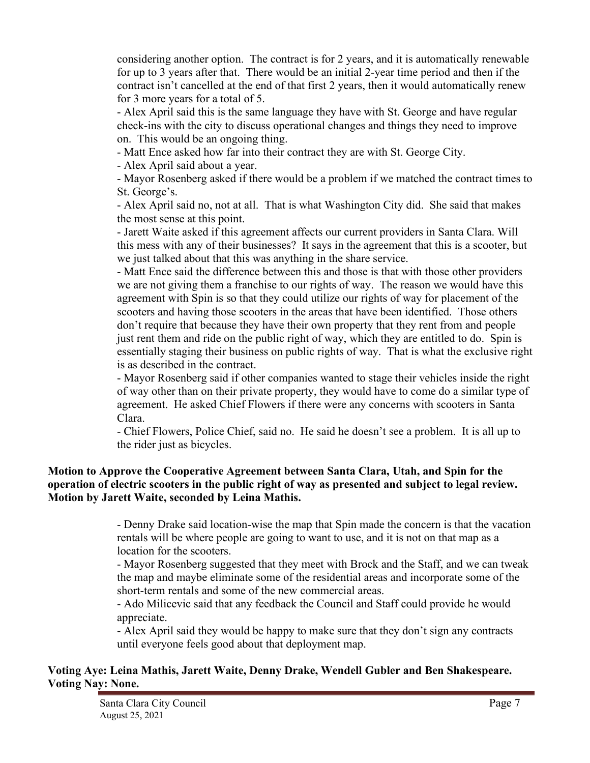considering another option. The contract is for 2 years, and it is automatically renewable for up to 3 years after that. There would be an initial 2-year time period and then if the contract isn't cancelled at the end of that first 2 years, then it would automatically renew for 3 more years for a total of 5.

- Alex April said this is the same language they have with St. George and have regular check-ins with the city to discuss operational changes and things they need to improve on. This would be an ongoing thing.

- Matt Ence asked how far into their contract they are with St. George City.

- Alex April said about a year.

- Mayor Rosenberg asked if there would be a problem if we matched the contract times to St. George's.

- Alex April said no, not at all. That is what Washington City did. She said that makes the most sense at this point.

- Jarett Waite asked if this agreement affects our current providers in Santa Clara. Will this mess with any of their businesses? It says in the agreement that this is a scooter, but we just talked about that this was anything in the share service.

- Matt Ence said the difference between this and those is that with those other providers we are not giving them a franchise to our rights of way. The reason we would have this agreement with Spin is so that they could utilize our rights of way for placement of the scooters and having those scooters in the areas that have been identified. Those others don't require that because they have their own property that they rent from and people just rent them and ride on the public right of way, which they are entitled to do. Spin is essentially staging their business on public rights of way. That is what the exclusive right is as described in the contract.

- Mayor Rosenberg said if other companies wanted to stage their vehicles inside the right of way other than on their private property, they would have to come do a similar type of agreement. He asked Chief Flowers if there were any concerns with scooters in Santa Clara.

- Chief Flowers, Police Chief, said no. He said he doesn't see a problem. It is all up to the rider just as bicycles.

## **Motion to Approve the Cooperative Agreement between Santa Clara, Utah, and Spin for the operation of electric scooters in the public right of way as presented and subject to legal review. Motion by Jarett Waite, seconded by Leina Mathis.**

- Denny Drake said location-wise the map that Spin made the concern is that the vacation rentals will be where people are going to want to use, and it is not on that map as a location for the scooters.

- Mayor Rosenberg suggested that they meet with Brock and the Staff, and we can tweak the map and maybe eliminate some of the residential areas and incorporate some of the short-term rentals and some of the new commercial areas.

- Ado Milicevic said that any feedback the Council and Staff could provide he would appreciate.

- Alex April said they would be happy to make sure that they don't sign any contracts until everyone feels good about that deployment map.

## **Voting Aye: Leina Mathis, Jarett Waite, Denny Drake, Wendell Gubler and Ben Shakespeare. Voting Nay: None.**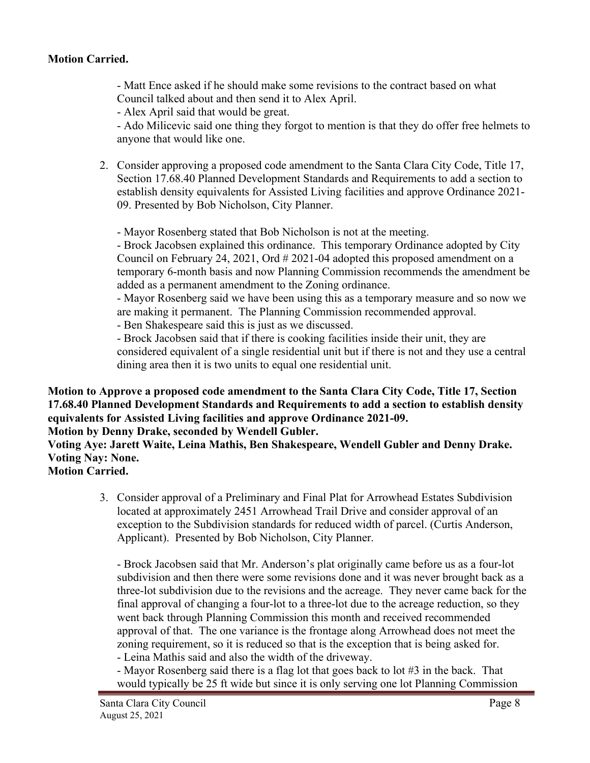## **Motion Carried.**

- Matt Ence asked if he should make some revisions to the contract based on what Council talked about and then send it to Alex April.

- Alex April said that would be great.

- Ado Milicevic said one thing they forgot to mention is that they do offer free helmets to anyone that would like one.

2. Consider approving a proposed code amendment to the Santa Clara City Code, Title 17, Section 17.68.40 Planned Development Standards and Requirements to add a section to establish density equivalents for Assisted Living facilities and approve Ordinance 2021- 09. Presented by Bob Nicholson, City Planner.

- Mayor Rosenberg stated that Bob Nicholson is not at the meeting.

- Brock Jacobsen explained this ordinance. This temporary Ordinance adopted by City Council on February 24, 2021, Ord # 2021-04 adopted this proposed amendment on a temporary 6-month basis and now Planning Commission recommends the amendment be added as a permanent amendment to the Zoning ordinance.

- Mayor Rosenberg said we have been using this as a temporary measure and so now we are making it permanent. The Planning Commission recommended approval.

- Ben Shakespeare said this is just as we discussed.

- Brock Jacobsen said that if there is cooking facilities inside their unit, they are considered equivalent of a single residential unit but if there is not and they use a central dining area then it is two units to equal one residential unit.

**Motion to Approve a proposed code amendment to the Santa Clara City Code, Title 17, Section 17.68.40 Planned Development Standards and Requirements to add a section to establish density equivalents for Assisted Living facilities and approve Ordinance 2021-09.**

**Motion by Denny Drake, seconded by Wendell Gubler.**

**Voting Aye: Jarett Waite, Leina Mathis, Ben Shakespeare, Wendell Gubler and Denny Drake. Voting Nay: None.**

**Motion Carried.**

 3. Consider approval of a Preliminary and Final Plat for Arrowhead Estates Subdivision located at approximately 2451 Arrowhead Trail Drive and consider approval of an exception to the Subdivision standards for reduced width of parcel. (Curtis Anderson, Applicant). Presented by Bob Nicholson, City Planner.

- Brock Jacobsen said that Mr. Anderson's plat originally came before us as a four-lot subdivision and then there were some revisions done and it was never brought back as a three-lot subdivision due to the revisions and the acreage. They never came back for the final approval of changing a four-lot to a three-lot due to the acreage reduction, so they went back through Planning Commission this month and received recommended approval of that. The one variance is the frontage along Arrowhead does not meet the zoning requirement, so it is reduced so that is the exception that is being asked for.

- Leina Mathis said and also the width of the driveway.

- Mayor Rosenberg said there is a flag lot that goes back to lot #3 in the back. That would typically be 25 ft wide but since it is only serving one lot Planning Commission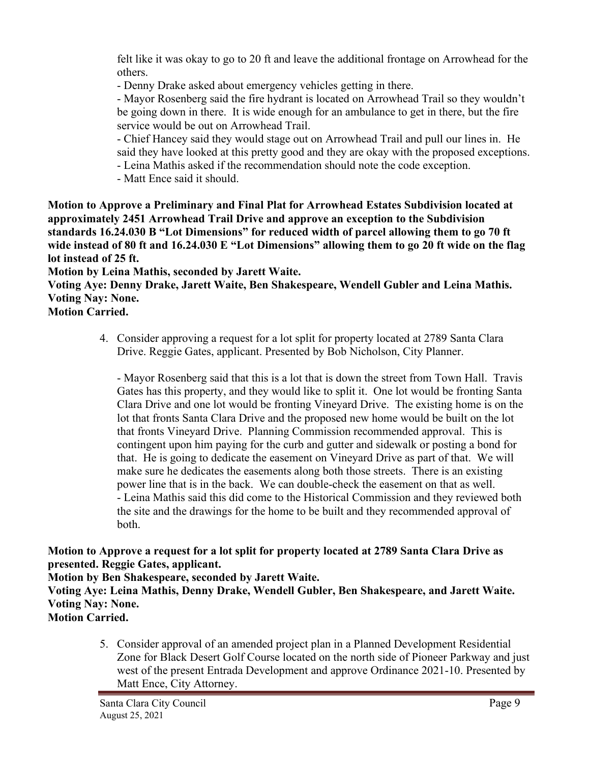felt like it was okay to go to 20 ft and leave the additional frontage on Arrowhead for the others.

- Denny Drake asked about emergency vehicles getting in there.

- Mayor Rosenberg said the fire hydrant is located on Arrowhead Trail so they wouldn't be going down in there. It is wide enough for an ambulance to get in there, but the fire service would be out on Arrowhead Trail.

- Chief Hancey said they would stage out on Arrowhead Trail and pull our lines in. He said they have looked at this pretty good and they are okay with the proposed exceptions.

- Leina Mathis asked if the recommendation should note the code exception.

- Matt Ence said it should.

**Motion to Approve a Preliminary and Final Plat for Arrowhead Estates Subdivision located at approximately 2451 Arrowhead Trail Drive and approve an exception to the Subdivision standards 16.24.030 B "Lot Dimensions" for reduced width of parcel allowing them to go 70 ft wide instead of 80 ft and 16.24.030 E "Lot Dimensions" allowing them to go 20 ft wide on the flag lot instead of 25 ft.**

**Motion by Leina Mathis, seconded by Jarett Waite.**

**Voting Aye: Denny Drake, Jarett Waite, Ben Shakespeare, Wendell Gubler and Leina Mathis. Voting Nay: None.**

**Motion Carried.**

4. Consider approving a request for a lot split for property located at 2789 Santa Clara Drive. Reggie Gates, applicant. Presented by Bob Nicholson, City Planner.

- Mayor Rosenberg said that this is a lot that is down the street from Town Hall. Travis Gates has this property, and they would like to split it. One lot would be fronting Santa Clara Drive and one lot would be fronting Vineyard Drive. The existing home is on the lot that fronts Santa Clara Drive and the proposed new home would be built on the lot that fronts Vineyard Drive. Planning Commission recommended approval. This is contingent upon him paying for the curb and gutter and sidewalk or posting a bond for that. He is going to dedicate the easement on Vineyard Drive as part of that. We will make sure he dedicates the easements along both those streets. There is an existing power line that is in the back. We can double-check the easement on that as well. - Leina Mathis said this did come to the Historical Commission and they reviewed both the site and the drawings for the home to be built and they recommended approval of both.

**Motion to Approve a request for a lot split for property located at 2789 Santa Clara Drive as presented. Reggie Gates, applicant.**

**Motion by Ben Shakespeare, seconded by Jarett Waite.**

**Voting Aye: Leina Mathis, Denny Drake, Wendell Gubler, Ben Shakespeare, and Jarett Waite. Voting Nay: None.**

**Motion Carried.**

5. Consider approval of an amended project plan in a Planned Development Residential Zone for Black Desert Golf Course located on the north side of Pioneer Parkway and just west of the present Entrada Development and approve Ordinance 2021-10. Presented by Matt Ence, City Attorney.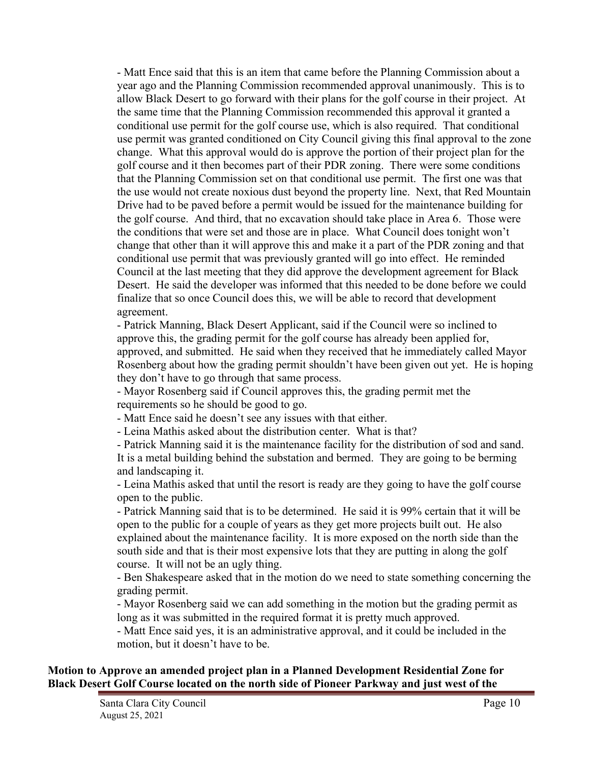- Matt Ence said that this is an item that came before the Planning Commission about a year ago and the Planning Commission recommended approval unanimously. This is to allow Black Desert to go forward with their plans for the golf course in their project. At the same time that the Planning Commission recommended this approval it granted a conditional use permit for the golf course use, which is also required. That conditional use permit was granted conditioned on City Council giving this final approval to the zone change. What this approval would do is approve the portion of their project plan for the golf course and it then becomes part of their PDR zoning. There were some conditions that the Planning Commission set on that conditional use permit. The first one was that the use would not create noxious dust beyond the property line. Next, that Red Mountain Drive had to be paved before a permit would be issued for the maintenance building for the golf course. And third, that no excavation should take place in Area 6. Those were the conditions that were set and those are in place. What Council does tonight won't change that other than it will approve this and make it a part of the PDR zoning and that conditional use permit that was previously granted will go into effect. He reminded Council at the last meeting that they did approve the development agreement for Black Desert. He said the developer was informed that this needed to be done before we could finalize that so once Council does this, we will be able to record that development agreement.

- Patrick Manning, Black Desert Applicant, said if the Council were so inclined to approve this, the grading permit for the golf course has already been applied for, approved, and submitted. He said when they received that he immediately called Mayor Rosenberg about how the grading permit shouldn't have been given out yet. He is hoping they don't have to go through that same process.

- Mayor Rosenberg said if Council approves this, the grading permit met the requirements so he should be good to go.

- Matt Ence said he doesn't see any issues with that either.

- Leina Mathis asked about the distribution center. What is that?

- Patrick Manning said it is the maintenance facility for the distribution of sod and sand. It is a metal building behind the substation and bermed. They are going to be berming and landscaping it.

- Leina Mathis asked that until the resort is ready are they going to have the golf course open to the public.

- Patrick Manning said that is to be determined. He said it is 99% certain that it will be open to the public for a couple of years as they get more projects built out. He also explained about the maintenance facility. It is more exposed on the north side than the south side and that is their most expensive lots that they are putting in along the golf course. It will not be an ugly thing.

- Ben Shakespeare asked that in the motion do we need to state something concerning the grading permit.

- Mayor Rosenberg said we can add something in the motion but the grading permit as long as it was submitted in the required format it is pretty much approved.

- Matt Ence said yes, it is an administrative approval, and it could be included in the motion, but it doesn't have to be.

#### **Motion to Approve an amended project plan in a Planned Development Residential Zone for Black Desert Golf Course located on the north side of Pioneer Parkway and just west of the**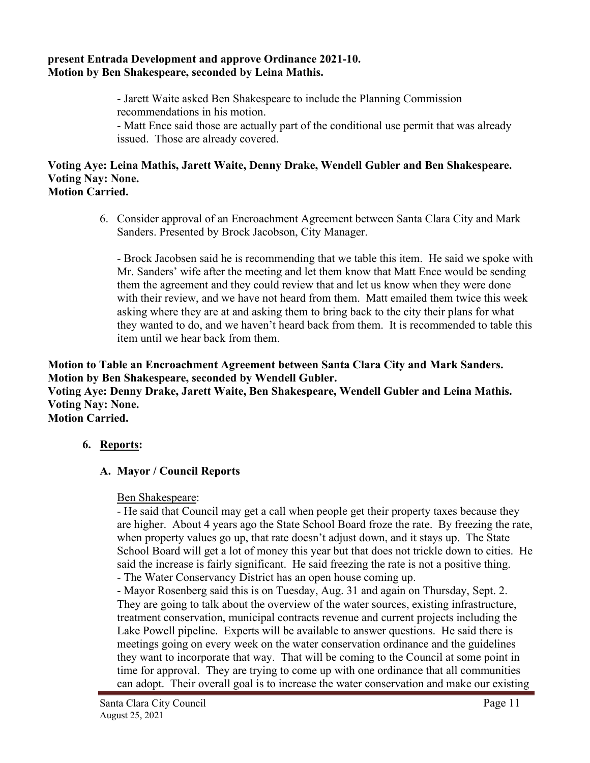#### **present Entrada Development and approve Ordinance 2021-10. Motion by Ben Shakespeare, seconded by Leina Mathis.**

- Jarett Waite asked Ben Shakespeare to include the Planning Commission recommendations in his motion.

- Matt Ence said those are actually part of the conditional use permit that was already issued. Those are already covered.

# **Voting Aye: Leina Mathis, Jarett Waite, Denny Drake, Wendell Gubler and Ben Shakespeare. Voting Nay: None.**

- **Motion Carried.**
	- 6. Consider approval of an Encroachment Agreement between Santa Clara City and Mark Sanders. Presented by Brock Jacobson, City Manager.

- Brock Jacobsen said he is recommending that we table this item. He said we spoke with Mr. Sanders' wife after the meeting and let them know that Matt Ence would be sending them the agreement and they could review that and let us know when they were done with their review, and we have not heard from them. Matt emailed them twice this week asking where they are at and asking them to bring back to the city their plans for what they wanted to do, and we haven't heard back from them. It is recommended to table this item until we hear back from them.

**Motion to Table an Encroachment Agreement between Santa Clara City and Mark Sanders. Motion by Ben Shakespeare, seconded by Wendell Gubler. Voting Aye: Denny Drake, Jarett Waite, Ben Shakespeare, Wendell Gubler and Leina Mathis. Voting Nay: None. Motion Carried.**

# **6. Reports:**

# **A. Mayor / Council Reports**

## Ben Shakespeare:

- He said that Council may get a call when people get their property taxes because they are higher. About 4 years ago the State School Board froze the rate. By freezing the rate, when property values go up, that rate doesn't adjust down, and it stays up. The State School Board will get a lot of money this year but that does not trickle down to cities. He said the increase is fairly significant. He said freezing the rate is not a positive thing. - The Water Conservancy District has an open house coming up.

- Mayor Rosenberg said this is on Tuesday, Aug. 31 and again on Thursday, Sept. 2.

They are going to talk about the overview of the water sources, existing infrastructure, treatment conservation, municipal contracts revenue and current projects including the Lake Powell pipeline. Experts will be available to answer questions. He said there is meetings going on every week on the water conservation ordinance and the guidelines they want to incorporate that way. That will be coming to the Council at some point in time for approval. They are trying to come up with one ordinance that all communities can adopt. Their overall goal is to increase the water conservation and make our existing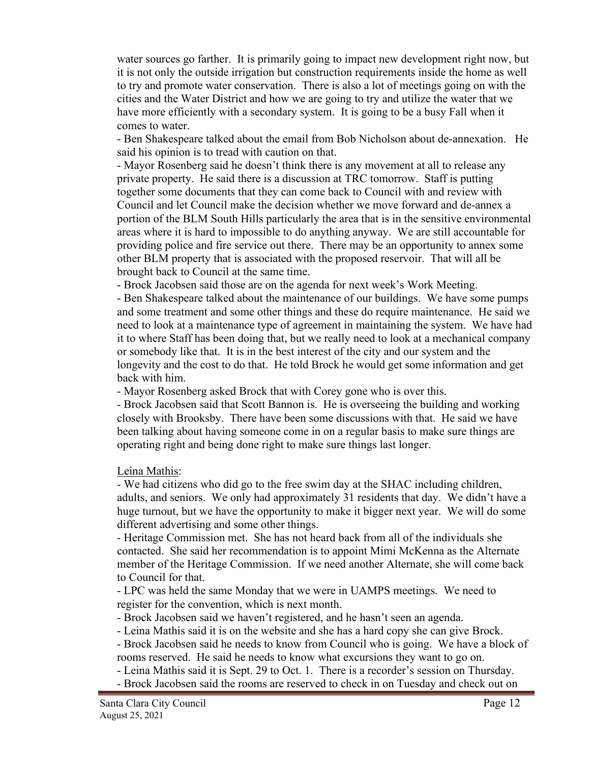water sources go farther. It is primarily going to impact new development right now, but it is not only the outside irrigation but construction requirements inside the home as well to try and promote water conservation. There is also a lot of meetings going on with the cities and the Water District and how we are going to try and utilize the water that we have more efficiently with a secondary system. It is going to be a busy Fall when it comes to water.

- Ben Shakespeare talked about the email from Bob Nicholson about de-annexation. He said his opinion is to tread with caution on that.

- Mayor Rosenberg said he doesn't think there is any movement at all to release any private property. He said there is a discussion at TRC tomorrow. Staff is putting together some documents that they can come back to Council with and review with Council and let Council make the decision whether we move forward and de-annex a portion of the BLM South Hills particularly the area that is in the sensitive environmental areas where it is hard to impossible to do anything anyway. We are still accountable for providing police and fire service out there. There may be an opportunity to annex some other BLM property that is associated with the proposed reservoir. That will all be brought back to Council at the same time.

- Brock Jacobsen said those are on the agenda for next week's Work Meeting.

- Ben Shakespeare talked about the maintenance of our buildings. We have some pumps and some treatment and some other things and these do require maintenance. He said we need to look at a maintenance type of agreement in maintaining the system. We have had it to where Staff has been doing that, but we really need to look at a mechanical company or somebody like that. It is in the best interest of the city and our system and the longevity and the cost to do that. He told Brock he would get some information and get back with him.

- Mayor Rosenberg asked Brock that with Corey gone who is over this.

- Brock Jacobsen said that Scott Bannon is. He is overseeing the building and working closely with Brooksby. There have been some discussions with that. He said we have been talking about having someone come in on a regular basis to make sure things are operating right and being done right to make sure things last longer.

Leina Mathis:

- We had citizens who did go to the free swim day at the SHAC including children, adults, and seniors. We only had approximately 31 residents that day. We didn't have a huge turnout, but we have the opportunity to make it bigger next year. We will do some different advertising and some other things.

- Heritage Commission met. She has not heard back from all of the individuals she contacted. She said her recommendation is to appoint Mimi McKenna as the Alternate member of the Heritage Commission. If we need another Alternate, she will come back to Council for that.

- LPC was held the same Monday that we were in UAMPS meetings. We need to register for the convention, which is next month.

- Brock Jacobsen said we haven't registered, and he hasn't seen an agenda.

- Leina Mathis said it is on the website and she has a hard copy she can give Brock.

- Brock Jacobsen said he needs to know from Council who is going. We have a block of rooms reserved. He said he needs to know what excursions they want to go on.

- Leina Mathis said it is Sept. 29 to Oct. 1. There is a recorder's session on Thursday.

- Brock Jacobsen said the rooms are reserved to check in on Tuesday and check out on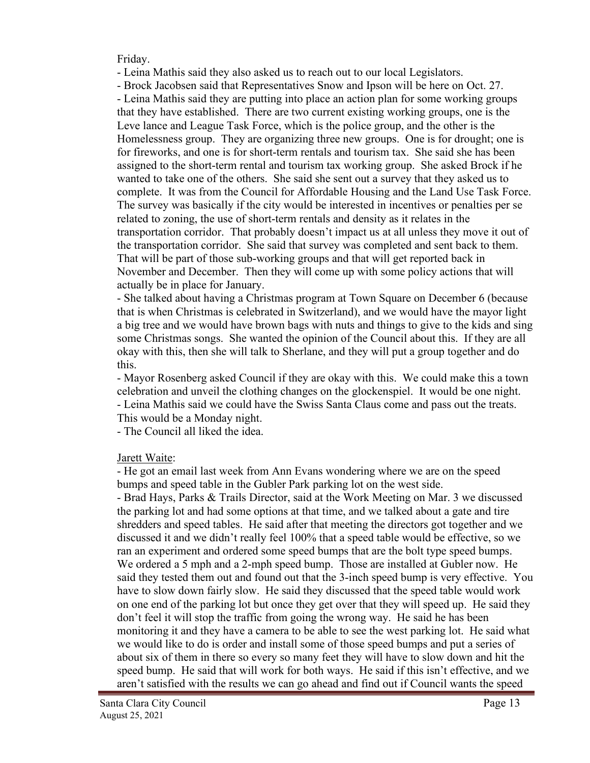Friday.

- Leina Mathis said they also asked us to reach out to our local Legislators.

- Brock Jacobsen said that Representatives Snow and Ipson will be here on Oct. 27. - Leina Mathis said they are putting into place an action plan for some working groups that they have established. There are two current existing working groups, one is the Leve lance and League Task Force, which is the police group, and the other is the Homelessness group. They are organizing three new groups. One is for drought; one is for fireworks, and one is for short-term rentals and tourism tax. She said she has been assigned to the short-term rental and tourism tax working group. She asked Brock if he wanted to take one of the others. She said she sent out a survey that they asked us to complete. It was from the Council for Affordable Housing and the Land Use Task Force. The survey was basically if the city would be interested in incentives or penalties per se related to zoning, the use of short-term rentals and density as it relates in the transportation corridor. That probably doesn't impact us at all unless they move it out of the transportation corridor. She said that survey was completed and sent back to them. That will be part of those sub-working groups and that will get reported back in November and December. Then they will come up with some policy actions that will actually be in place for January.

- She talked about having a Christmas program at Town Square on December 6 (because that is when Christmas is celebrated in Switzerland), and we would have the mayor light a big tree and we would have brown bags with nuts and things to give to the kids and sing some Christmas songs. She wanted the opinion of the Council about this. If they are all okay with this, then she will talk to Sherlane, and they will put a group together and do this.

- Mayor Rosenberg asked Council if they are okay with this. We could make this a town celebration and unveil the clothing changes on the glockenspiel. It would be one night. - Leina Mathis said we could have the Swiss Santa Claus come and pass out the treats. This would be a Monday night.

- The Council all liked the idea.

Jarett Waite:

- He got an email last week from Ann Evans wondering where we are on the speed bumps and speed table in the Gubler Park parking lot on the west side.

- Brad Hays, Parks & Trails Director, said at the Work Meeting on Mar. 3 we discussed the parking lot and had some options at that time, and we talked about a gate and tire shredders and speed tables. He said after that meeting the directors got together and we discussed it and we didn't really feel 100% that a speed table would be effective, so we ran an experiment and ordered some speed bumps that are the bolt type speed bumps. We ordered a 5 mph and a 2-mph speed bump. Those are installed at Gubler now. He said they tested them out and found out that the 3-inch speed bump is very effective. You have to slow down fairly slow. He said they discussed that the speed table would work on one end of the parking lot but once they get over that they will speed up. He said they don't feel it will stop the traffic from going the wrong way. He said he has been monitoring it and they have a camera to be able to see the west parking lot. He said what we would like to do is order and install some of those speed bumps and put a series of about six of them in there so every so many feet they will have to slow down and hit the speed bump. He said that will work for both ways. He said if this isn't effective, and we aren't satisfied with the results we can go ahead and find out if Council wants the speed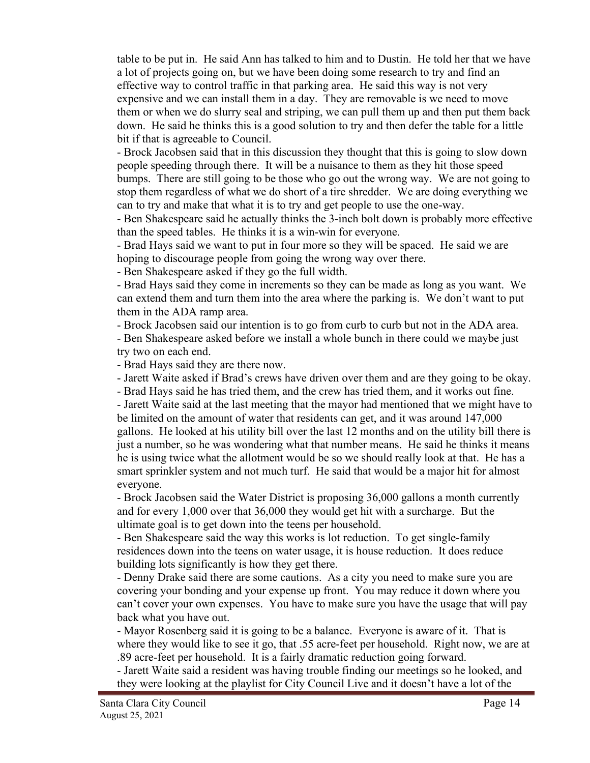table to be put in. He said Ann has talked to him and to Dustin. He told her that we have a lot of projects going on, but we have been doing some research to try and find an effective way to control traffic in that parking area. He said this way is not very expensive and we can install them in a day. They are removable is we need to move them or when we do slurry seal and striping, we can pull them up and then put them back down. He said he thinks this is a good solution to try and then defer the table for a little bit if that is agreeable to Council.

- Brock Jacobsen said that in this discussion they thought that this is going to slow down people speeding through there. It will be a nuisance to them as they hit those speed bumps. There are still going to be those who go out the wrong way. We are not going to stop them regardless of what we do short of a tire shredder. We are doing everything we can to try and make that what it is to try and get people to use the one-way.

- Ben Shakespeare said he actually thinks the 3-inch bolt down is probably more effective than the speed tables. He thinks it is a win-win for everyone.

- Brad Hays said we want to put in four more so they will be spaced. He said we are hoping to discourage people from going the wrong way over there.

- Ben Shakespeare asked if they go the full width.

- Brad Hays said they come in increments so they can be made as long as you want. We can extend them and turn them into the area where the parking is. We don't want to put them in the ADA ramp area.

- Brock Jacobsen said our intention is to go from curb to curb but not in the ADA area.

- Ben Shakespeare asked before we install a whole bunch in there could we maybe just try two on each end.

- Brad Hays said they are there now.

- Jarett Waite asked if Brad's crews have driven over them and are they going to be okay.

- Brad Hays said he has tried them, and the crew has tried them, and it works out fine.

- Jarett Waite said at the last meeting that the mayor had mentioned that we might have to be limited on the amount of water that residents can get, and it was around 147,000 gallons. He looked at his utility bill over the last 12 months and on the utility bill there is just a number, so he was wondering what that number means. He said he thinks it means he is using twice what the allotment would be so we should really look at that. He has a smart sprinkler system and not much turf. He said that would be a major hit for almost everyone.

- Brock Jacobsen said the Water District is proposing 36,000 gallons a month currently and for every 1,000 over that 36,000 they would get hit with a surcharge. But the ultimate goal is to get down into the teens per household.

- Ben Shakespeare said the way this works is lot reduction. To get single-family residences down into the teens on water usage, it is house reduction. It does reduce building lots significantly is how they get there.

- Denny Drake said there are some cautions. As a city you need to make sure you are covering your bonding and your expense up front. You may reduce it down where you can't cover your own expenses. You have to make sure you have the usage that will pay back what you have out.

- Mayor Rosenberg said it is going to be a balance. Everyone is aware of it. That is where they would like to see it go, that .55 acre-feet per household. Right now, we are at .89 acre-feet per household. It is a fairly dramatic reduction going forward.

- Jarett Waite said a resident was having trouble finding our meetings so he looked, and they were looking at the playlist for City Council Live and it doesn't have a lot of the